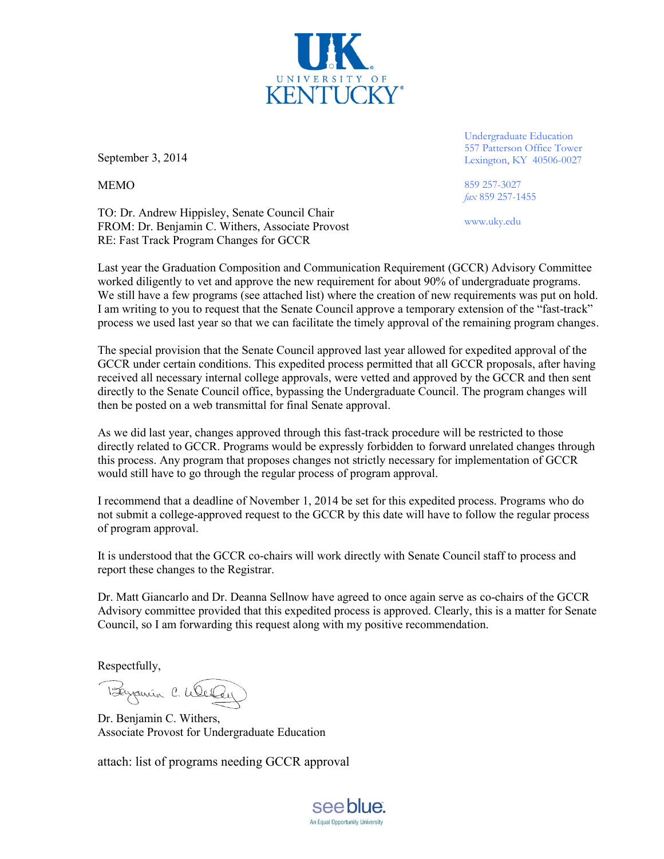

September 3, 2014

MEMO

TO: Dr. Andrew Hippisley, Senate Council Chair FROM: Dr. Benjamin C. Withers, Associate Provost RE: Fast Track Program Changes for GCCR

Undergraduate Education 557 Patterson Office Tower Lexington, KY 40506-0027

859 257-3027 *fax* 859 257-1455

www.uky.edu

Last year the Graduation Composition and Communication Requirement (GCCR) Advisory Committee worked diligently to vet and approve the new requirement for about 90% of undergraduate programs. We still have a few programs (see attached list) where the creation of new requirements was put on hold. I am writing to you to request that the Senate Council approve a temporary extension of the "fast-track" process we used last year so that we can facilitate the timely approval of the remaining program changes.

The special provision that the Senate Council approved last year allowed for expedited approval of the GCCR under certain conditions. This expedited process permitted that all GCCR proposals, after having received all necessary internal college approvals, were vetted and approved by the GCCR and then sent directly to the Senate Council office, bypassing the Undergraduate Council. The program changes will then be posted on a web transmittal for final Senate approval.

As we did last year, changes approved through this fast-track procedure will be restricted to those directly related to GCCR. Programs would be expressly forbidden to forward unrelated changes through this process. Any program that proposes changes not strictly necessary for implementation of GCCR would still have to go through the regular process of program approval.

I recommend that a deadline of November 1, 2014 be set for this expedited process. Programs who do not submit a college-approved request to the GCCR by this date will have to follow the regular process of program approval.

It is understood that the GCCR co-chairs will work directly with Senate Council staff to process and report these changes to the Registrar.

Dr. Matt Giancarlo and Dr. Deanna Sellnow have agreed to once again serve as co-chairs of the GCCR Advisory committee provided that this expedited process is approved. Clearly, this is a matter for Senate Council, so I am forwarding this request along with my positive recommendation.

Respectfully,

Byparin C. Weller

Dr. Benjamin C. Withers, Associate Provost for Undergraduate Education

attach: list of programs needing GCCR approval